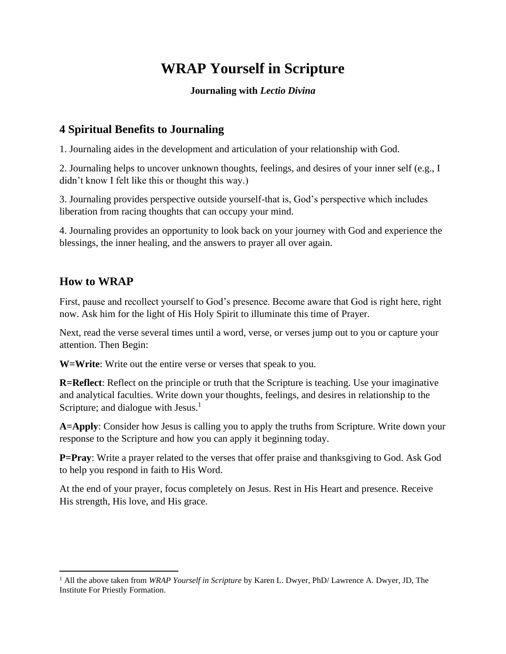# **WRAP Yourself in Scripture**

#### **Journaling with** *Lectio Divina*

### **4 Spiritual Benefits to Journaling**

1. Journaling aides in the development and articulation of your relationship with God.

2. Journaling helps to uncover unknown thoughts, feelings, and desires of your inner self (e.g., I didn't know I felt like this or thought this way.)

3. Journaling provides perspective outside yourself-that is, God's perspective which includes liberation from racing thoughts that can occupy your mind.

4. Journaling provides an opportunity to look back on your journey with God and experience the blessings, the inner healing, and the answers to prayer all over again.

#### **How to WRAP**

First, pause and recollect yourself to God's presence. Become aware that God is right here, right now. Ask him for the light of His Holy Spirit to illuminate this time of Prayer.

Next, read the verse several times until a word, verse, or verses jump out to you or capture your attention. Then Begin:

**W=Write**: Write out the entire verse or verses that speak to you.

**R=Reflect**: Reflect on the principle or truth that the Scripture is teaching. Use your imaginative and analytical faculties. Write down your thoughts, feelings, and desires in relationship to the Scripture; and dialogue with Jesus. $<sup>1</sup>$ </sup>

**A=Apply**: Consider how Jesus is calling you to apply the truths from Scripture. Write down your response to the Scripture and how you can apply it beginning today.

**P=Pray**: Write a prayer related to the verses that offer praise and thanksgiving to God. Ask God to help you respond in faith to His Word.

At the end of your prayer, focus completely on Jesus. Rest in His Heart and presence. Receive His strength, His love, and His grace.

<sup>1</sup> All the above taken from *WRAP Yourself in Scripture* by Karen L. Dwyer, PhD/ Lawrence A. Dwyer, JD, The Institute For Priestly Formation.